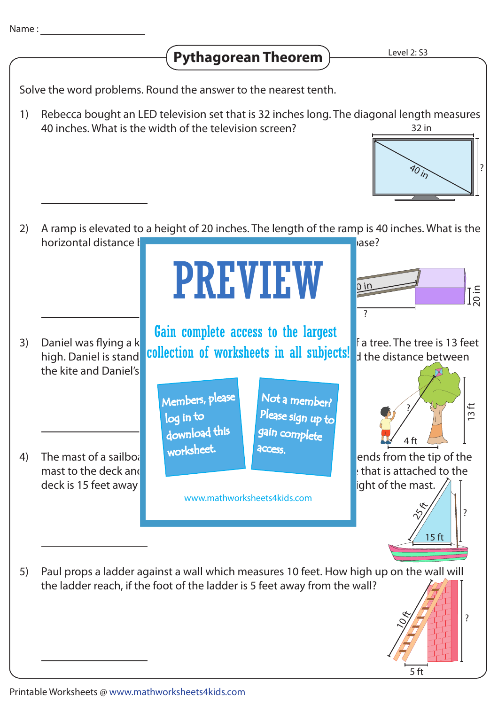

5 ft